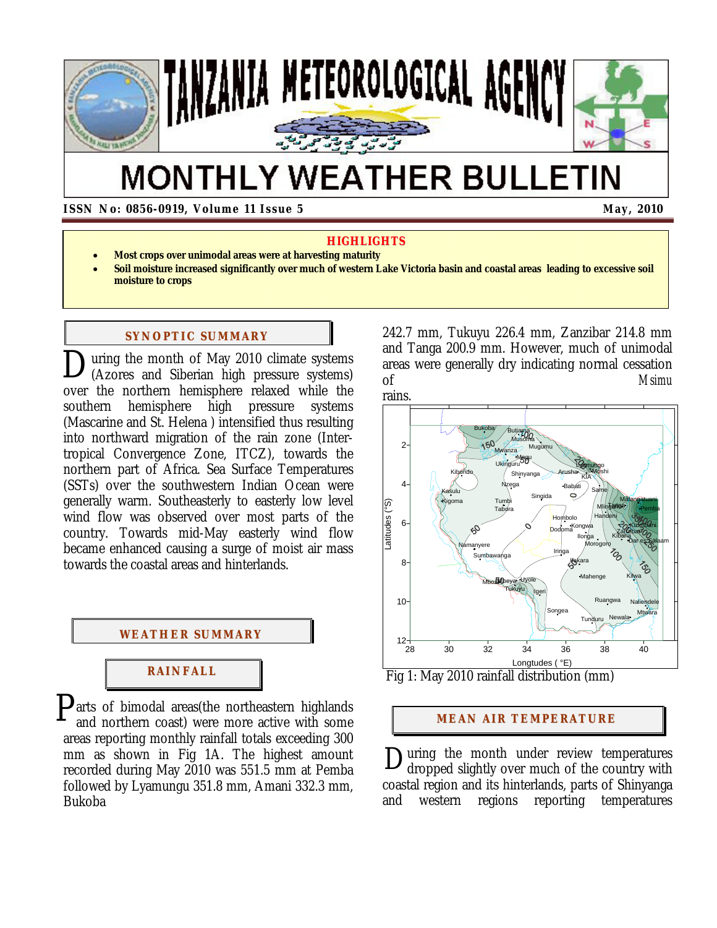

# **MONTHLY WEATHER BULLETIN**

 **ISSN No: 0856-0919, Volume 11 Issue 5** May, 2010

#### **HIGHLIGHTS**

- **Most crops over unimodal areas were at harvesting maturity**
- **Soil moisture increased significantly over much of western Lake Victoria basin and coastal areas leading to excessive soil moisture to crops**

#### **SYNOPTIC SUMMARY**

uring the month of May 2010 climate systems (Azores and Siberian high pressure systems) over the northern hemisphere relaxed while the southern hemisphere high pressure systems (Mascarine and St. Helena ) intensified thus resulting into northward migration of the rain zone (Intertropical Convergence Zone, ITCZ), towards the northern part of Africa. Sea Surface Temperatures (SSTs) over the southwestern Indian Ocean were generally warm. Southeasterly to easterly low level wind flow was observed over most parts of the country. Towards mid-May easterly wind flow became enhanced causing a surge of moist air mass towards the coastal areas and hinterlands.  $\mathbf{D}_{\left( \mathbf{A}\right) }^{\mathrm{u}}$ 



 $P<sub>ants</sub>$  of bimodal areas(the northeastern highlands and northern coast) were more active with some and northern coast) were more active with some areas reporting monthly rainfall totals exceeding 300 mm as shown in Fig 1A. The highest amount recorded during May 2010 was 551.5 mm at Pemba followed by Lyamungu 351.8 mm, Amani 332.3 mm, Bukoba

242.7 mm, Tukuyu 226.4 mm, Zanzibar 214.8 mm and Tanga 200.9 mm. However, much of unimodal areas were generally dry indicating normal cessation of *Msimu*



Fig 1: May 2010 rainfall distribution (mm)

#### **MEAN AIR TEMPERATURE**

uring the month under review temperatures dropped slightly over much of the country with coastal region and its hinterlands, parts of Shinyanga and western regions reporting temperatures D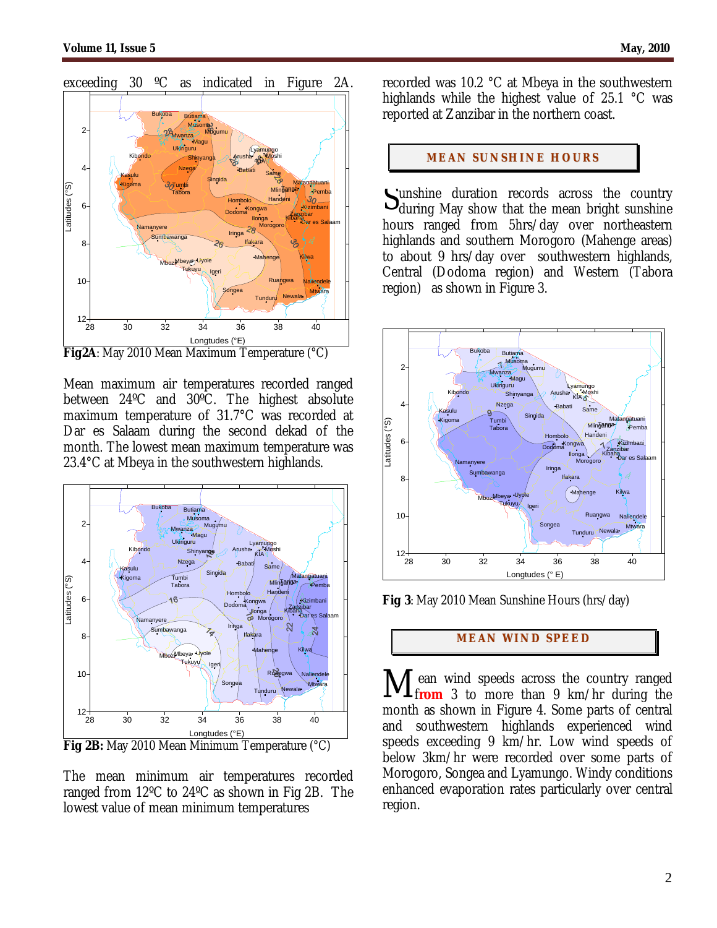

exceeding 30 ºC as indicated in Figure 2A.

**Fig2A**: May 2010 Mean Maximum Temperature (°C)

Mean maximum air temperatures recorded ranged between 24ºC and 30ºC. The highest absolute maximum temperature of 31.7°C was recorded at Dar es Salaam during the second dekad of the month. The lowest mean maximum temperature was 23.4°C at Mbeya in the southwestern highlands.



**Fig 2B:** May 2010 Mean Minimum Temperature (°C)

The mean minimum air temperatures recorded ranged from 12ºC to 24ºC as shown in Fig 2B. The lowest value of mean minimum temperatures

recorded was 10.2 °C at Mbeya in the southwestern highlands while the highest value of 25.1 °C was reported at Zanzibar in the northern coast.

#### **MEAN SUNSHINE HOURS**

Sunshine duration records across the country<br>during May show that the mean bright sunshine  $\mathbf{U}_{\text{during}}$  May show that the mean bright sunshine hours ranged from 5hrs/day over northeastern highlands and southern Morogoro (Mahenge areas) to about 9 hrs/day over southwestern highlands, Central (Dodoma region) and Western (Tabora region) as shown in Figure 3.



**Fig 3**: May 2010 Mean Sunshine Hours (hrs/day)

## **MEAN WI ND SPEED**

Mean wind speeds across the country ranged from 3 to more than 9 km/hr during the **<u>Lfrom</u>** 3 to more than 9 km/hr during the month as shown in Figure 4. Some parts of central and southwestern highlands experienced wind speeds exceeding 9 km/hr. Low wind speeds of below 3km/hr were recorded over some parts of Morogoro, Songea and Lyamungo. Windy conditions enhanced evaporation rates particularly over central region.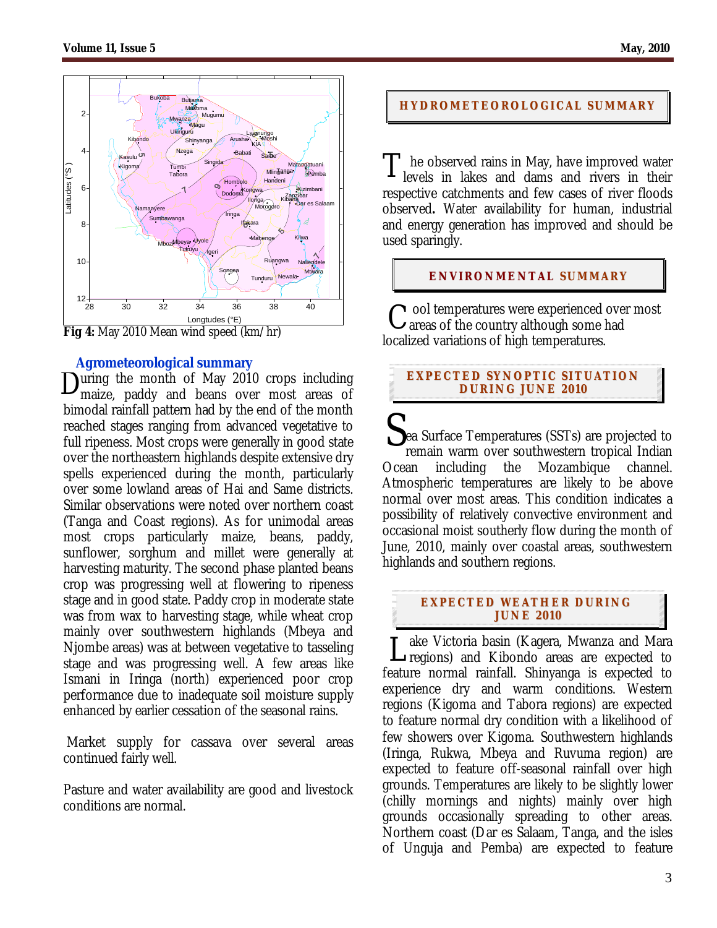

**Fig 4:** May 2010 Mean wind speed (km/hr)

## **Agrometeorological summary**

During the month of May 2010 crops including<br>maize, paddy and beans over most areas of maize, paddy and beans over most areas of bimodal rainfall pattern had by the end of the month reached stages ranging from advanced vegetative to full ripeness. Most crops were generally in good state over the northeastern highlands despite extensive dry spells experienced during the month, particularly over some lowland areas of Hai and Same districts. Similar observations were noted over northern coast (Tanga and Coast regions). As for unimodal areas most crops particularly maize, beans, paddy, sunflower, sorghum and millet were generally at harvesting maturity. The second phase planted beans crop was progressing well at flowering to ripeness stage and in good state. Paddy crop in moderate state was from wax to harvesting stage, while wheat crop mainly over southwestern highlands (Mbeya and Njombe areas) was at between vegetative to tasseling stage and was progressing well. A few areas like Ismani in Iringa (north) experienced poor crop performance due to inadequate soil moisture supply enhanced by earlier cessation of the seasonal rains.

 Market supply for cassava over several areas continued fairly well.

Pasture and water availability are good and livestock conditions are normal.

## **HYDROMETEOROLOGICAL SUMMARY**

The observed rains in May, have improved water<br>levels in lakes and dams and rivers in their levels in lakes and dams and rivers in their respective catchments and few cases of river floods observed**.** Water availability for human, industrial and energy generation has improved and should be used sparingly.

## **ENVIRONMENTAL SUMMARY**

ool temperatures were experienced over most  $C$  ool temperatures were experienced over<br> $C$  areas of the country although some had localized variations of high temperatures.

## **EXPECTED SYNOPTIC SITUATION DURI NG J UNE 201 0**

ea Surface Temperatures (SSTs) are projected to remain warm over southwestern tropical Indian Ocean including the Mozambique channel. Atmospheric temperatures are likely to be above normal over most areas. This condition indicates a possibility of relatively convective environment and occasional moist southerly flow during the month of June, 2010, mainly over coastal areas, southwestern highlands and southern regions. S

#### **EXPECTED WEATHER DURI NG JUNE 201 0**

ake Victoria basin (Kagera, Mwanza and Mara Lake Victoria basin (Kagera, Mwanza and Mara<br>Liegions) and Kibondo areas are expected to feature normal rainfall. Shinyanga is expected to experience dry and warm conditions. Western regions (Kigoma and Tabora regions) are expected to feature normal dry condition with a likelihood of few showers over Kigoma. Southwestern highlands (Iringa, Rukwa, Mbeya and Ruvuma region) are expected to feature off-seasonal rainfall over high grounds. Temperatures are likely to be slightly lower (chilly mornings and nights) mainly over high grounds occasionally spreading to other areas. Northern coast (Dar es Salaam, Tanga, and the isles of Unguja and Pemba) are expected to feature